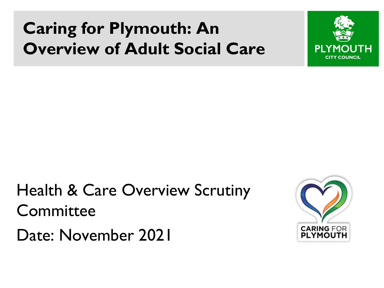### **Caring for Plymouth: An Overview of Adult Social Care**



Health & Care Overview Scrutiny **Committee** 



Date: November 2021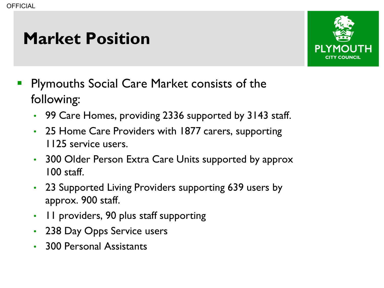### **Market Position**



- Plymouths Social Care Market consists of the following:
	- 99 Care Homes, providing 2336 supported by 3143 staff.
	- 25 Home Care Providers with 1877 carers, supporting 1125 service users.
	- 300 Older Person Extra Care Units supported by approx 100 staff.
	- 23 Supported Living Providers supporting 639 users by approx. 900 staff.
	- 11 providers, 90 plus staff supporting
	- 238 Day Opps Service users
	- 300 Personal Assistants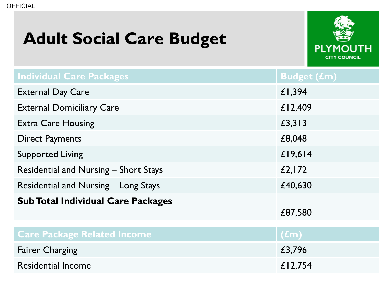#### **Adult Social Care Budget**



| <b>Individual Care Packages</b>              | <b>Budget (£m)</b> |
|----------------------------------------------|--------------------|
| <b>External Day Care</b>                     | £1,394             |
| <b>External Domiciliary Care</b>             | £12,409            |
| <b>Extra Care Housing</b>                    | £3,313             |
| <b>Direct Payments</b>                       | £8,048             |
| <b>Supported Living</b>                      | £19,614            |
| <b>Residential and Nursing - Short Stays</b> | £2,172             |
| <b>Residential and Nursing - Long Stays</b>  | £40,630            |
| <b>Sub Total Individual Care Packages</b>    | £87,580            |
| <b>Care Package Related Income</b>           | $\overline{(fm)}$  |
| <b>Fairer Charging</b>                       | £3,796             |
| <b>Residential Income</b>                    | £12,754            |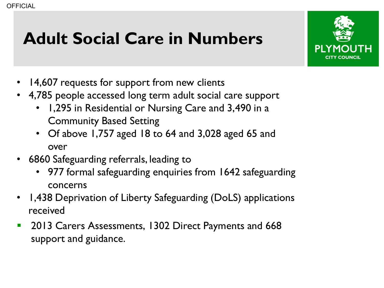# **Adult Social Care in Numbers**



- 14,607 requests for support from new clients
- 4,785 people accessed long term adult social care support
	- 1,295 in Residential or Nursing Care and 3,490 in a Community Based Setting
	- Of above 1,757 aged 18 to 64 and 3,028 aged 65 and over
- 6860 Safeguarding referrals, leading to
	- 977 formal safeguarding enquiries from 1642 safeguarding concerns
- 1,438 Deprivation of Liberty Safeguarding (DoLS) applications received
- **2013 Carers Assessments, 1302 Direct Payments and 668** support and guidance.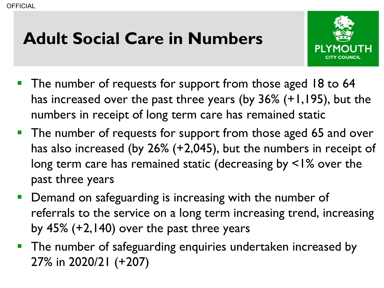# **Adult Social Care in Numbers**



- **The number of requests for support from those aged 18 to 64** has increased over the past three years (by 36% (+1,195), but the numbers in receipt of long term care has remained static
- **The number of requests for support from those aged 65 and over** has also increased (by 26% (+2,045), but the numbers in receipt of long term care has remained static (decreasing by <1% over the past three years
- **Demand on safeguarding is increasing with the number of** referrals to the service on a long term increasing trend, increasing by 45% (+2,140) over the past three years
- **The number of safeguarding enquiries undertaken increased by** 27% in 2020/21 (+207)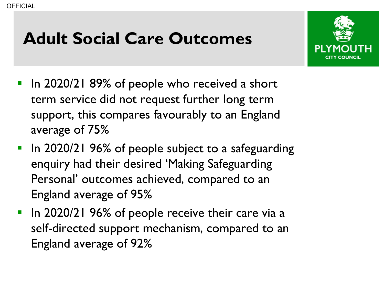## **Adult Social Care Outcomes**



- **If** In 2020/21 89% of people who received a short term service did not request further long term support, this compares favourably to an England average of 75%
- **In 2020/21 96% of people subject to a safeguarding** enquiry had their desired 'Making Safeguarding Personal' outcomes achieved, compared to an England average of 95%
- In 2020/21 96% of people receive their care via a self-directed support mechanism, compared to an England average of 92%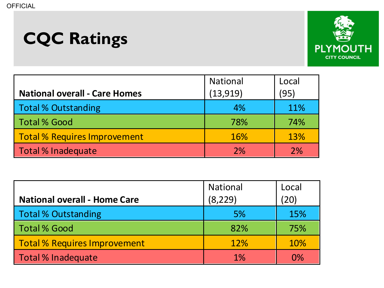# **CQC Ratings**



| <b>National overall - Care Homes</b> | <b>National</b><br>(13, 919) | Local<br>(95) |
|--------------------------------------|------------------------------|---------------|
| <b>Total % Outstanding</b>           | 4%                           | 11%           |
| <b>Total % Good</b>                  | 78%                          | 74%           |
| <b>Total % Requires Improvement</b>  | <b>16%</b>                   | 13%           |
| Total % Inadequate                   | 2%                           | 2%            |

|                                     | <b>National</b> | Local      |
|-------------------------------------|-----------------|------------|
| <b>National overall - Home Care</b> | (8, 229)        | (20)       |
| <b>Total % Outstanding</b>          | 5%              | 15%        |
| <b>Total % Good</b>                 | 82%             | 75%        |
| <b>Total % Requires Improvement</b> | 12%             | <b>10%</b> |
| Total % Inadequate                  | 1%              | 0%         |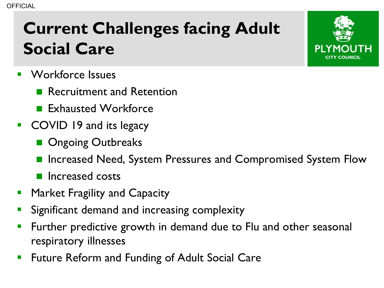# **Current Challenges facing Adult Social Care**

- **Norkforce Issues** 
	- **Recruitment and Retention**
	- **Exhausted Workforce**
- **COVID 19 and its legacy** 
	- Ongoing Outbreaks
	- Increased Need, System Pressures and Compromised System Flow
	- **Increased costs**
- **Market Fragility and Capacity**
- **Significant demand and increasing complexity**
- Further predictive growth in demand due to Flu and other seasonal respiratory illnesses
- Future Reform and Funding of Adult Social Care

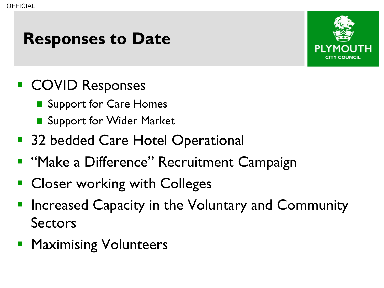#### **Responses to Date**



- COVID Responses
	- Support for Care Homes
	- Support for Wider Market
- 32 bedded Care Hotel Operational
- **"Make a Difference" Recruitment Campaign**
- Closer working with Colleges
- Increased Capacity in the Voluntary and Community Sectors
- **Maximising Volunteers**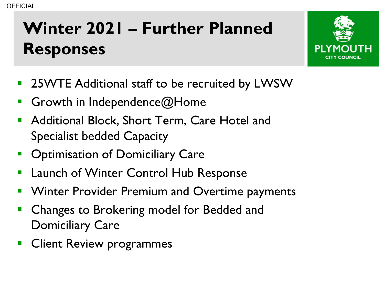# **Winter 2021 – Further Planned Responses**



- 25WTE Additional staff to be recruited by LWSW
- Growth in Independence@Home
- Additional Block, Short Term, Care Hotel and Specialist bedded Capacity
- **Optimisation of Domiciliary Care**
- Launch of Winter Control Hub Response
- Winter Provider Premium and Overtime payments
- Changes to Brokering model for Bedded and Domiciliary Care
- Client Review programmes